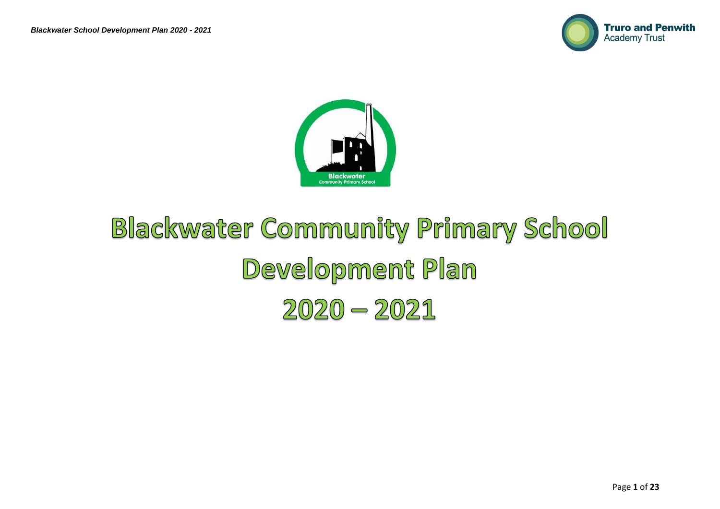



## **Blackwater Community Primary School** Development Plan  $2020 - 2021$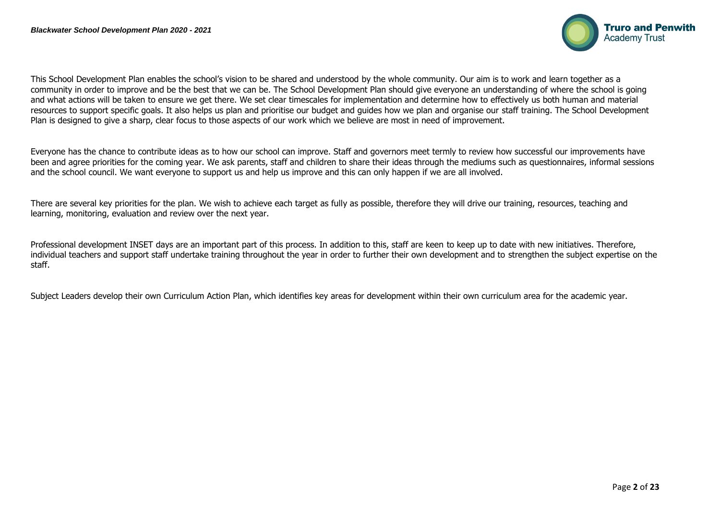

This School Development Plan enables the school's vision to be shared and understood by the whole community. Our aim is to work and learn together as a community in order to improve and be the best that we can be. The School Development Plan should give everyone an understanding of where the school is going and what actions will be taken to ensure we get there. We set clear timescales for implementation and determine how to effectively us both human and material resources to support specific goals. It also helps us plan and prioritise our budget and guides how we plan and organise our staff training. The School Development Plan is designed to give a sharp, clear focus to those aspects of our work which we believe are most in need of improvement.

Everyone has the chance to contribute ideas as to how our school can improve. Staff and governors meet termly to review how successful our improvements have been and agree priorities for the coming year. We ask parents, staff and children to share their ideas through the mediums such as questionnaires, informal sessions and the school council. We want everyone to support us and help us improve and this can only happen if we are all involved.

There are several key priorities for the plan. We wish to achieve each target as fully as possible, therefore they will drive our training, resources, teaching and learning, monitoring, evaluation and review over the next year.

Professional development INSET days are an important part of this process. In addition to this, staff are keen to keep up to date with new initiatives. Therefore, individual teachers and support staff undertake training throughout the year in order to further their own development and to strengthen the subject expertise on the staff.

Subject Leaders develop their own Curriculum Action Plan, which identifies key areas for development within their own curriculum area for the academic year.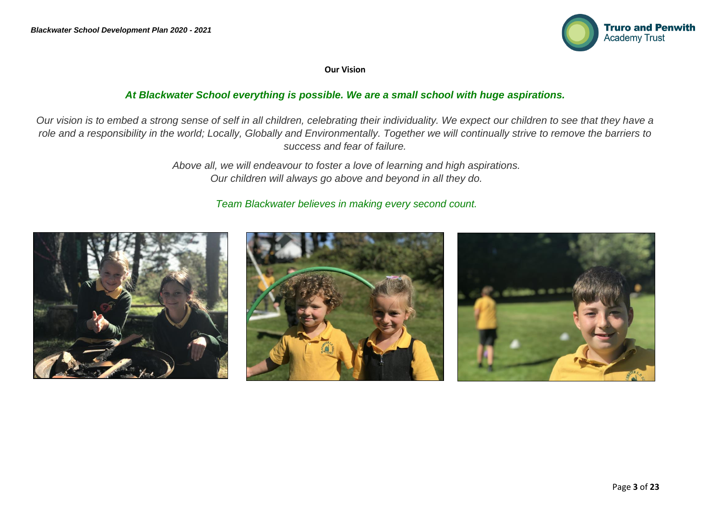

**Our Vision**

## *At Blackwater School everything is possible. We are a small school with huge aspirations.*

*Our vision is to embed a strong sense of self in all children, celebrating their individuality. We expect our children to see that they have a*  role and a responsibility in the world; Locally, Globally and Environmentally. Together we will continually strive to remove the barriers to *success and fear of failure.*

> *Above all, we will endeavour to foster a love of learning and high aspirations. Our children will always go above and beyond in all they do.*

## *Team Blackwater believes in making every second count.*

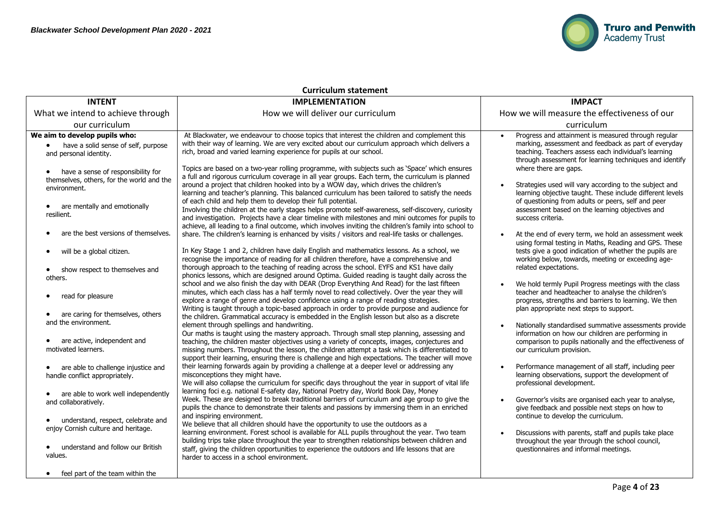

| <b>Curriculum statement</b>                                                                                                                                                                                                                                                                                                                                                                                                                                                                                                                                                                                                                                                                                                                   |                                                                                                                                                                                                                                                                                                                                                                                                                                                                                                                                                                                                                                                                                                                                                                                                                                                                                                                                                                                                                                                                                                                                                                                                                                                                                                                                                                                                                                                                                                                                                                                                                                                                                                                                                                                                                                                                                                                                                                                                                                                                                                                                                                                                                                                                                                                                                                                                                                                                                                                                                                                                                                                                                                                                                                                                                                                                                                                                                                                                                                                                                                                                                         |                                                                                                                                                                                                                                                                                                                                                                                                                                                                                                                                                                                                                                                                                                                                                                                                                                                                                                                                                                                                                                                                                                                                                                                                                                                                                                                                                                                                                                                                                                         |  |  |  |  |  |
|-----------------------------------------------------------------------------------------------------------------------------------------------------------------------------------------------------------------------------------------------------------------------------------------------------------------------------------------------------------------------------------------------------------------------------------------------------------------------------------------------------------------------------------------------------------------------------------------------------------------------------------------------------------------------------------------------------------------------------------------------|---------------------------------------------------------------------------------------------------------------------------------------------------------------------------------------------------------------------------------------------------------------------------------------------------------------------------------------------------------------------------------------------------------------------------------------------------------------------------------------------------------------------------------------------------------------------------------------------------------------------------------------------------------------------------------------------------------------------------------------------------------------------------------------------------------------------------------------------------------------------------------------------------------------------------------------------------------------------------------------------------------------------------------------------------------------------------------------------------------------------------------------------------------------------------------------------------------------------------------------------------------------------------------------------------------------------------------------------------------------------------------------------------------------------------------------------------------------------------------------------------------------------------------------------------------------------------------------------------------------------------------------------------------------------------------------------------------------------------------------------------------------------------------------------------------------------------------------------------------------------------------------------------------------------------------------------------------------------------------------------------------------------------------------------------------------------------------------------------------------------------------------------------------------------------------------------------------------------------------------------------------------------------------------------------------------------------------------------------------------------------------------------------------------------------------------------------------------------------------------------------------------------------------------------------------------------------------------------------------------------------------------------------------------------------------------------------------------------------------------------------------------------------------------------------------------------------------------------------------------------------------------------------------------------------------------------------------------------------------------------------------------------------------------------------------------------------------------------------------------------------------------------------------|---------------------------------------------------------------------------------------------------------------------------------------------------------------------------------------------------------------------------------------------------------------------------------------------------------------------------------------------------------------------------------------------------------------------------------------------------------------------------------------------------------------------------------------------------------------------------------------------------------------------------------------------------------------------------------------------------------------------------------------------------------------------------------------------------------------------------------------------------------------------------------------------------------------------------------------------------------------------------------------------------------------------------------------------------------------------------------------------------------------------------------------------------------------------------------------------------------------------------------------------------------------------------------------------------------------------------------------------------------------------------------------------------------------------------------------------------------------------------------------------------------|--|--|--|--|--|
| <b>INTENT</b>                                                                                                                                                                                                                                                                                                                                                                                                                                                                                                                                                                                                                                                                                                                                 | <b>IMPLEMENTATION</b>                                                                                                                                                                                                                                                                                                                                                                                                                                                                                                                                                                                                                                                                                                                                                                                                                                                                                                                                                                                                                                                                                                                                                                                                                                                                                                                                                                                                                                                                                                                                                                                                                                                                                                                                                                                                                                                                                                                                                                                                                                                                                                                                                                                                                                                                                                                                                                                                                                                                                                                                                                                                                                                                                                                                                                                                                                                                                                                                                                                                                                                                                                                                   | <b>IMPACT</b>                                                                                                                                                                                                                                                                                                                                                                                                                                                                                                                                                                                                                                                                                                                                                                                                                                                                                                                                                                                                                                                                                                                                                                                                                                                                                                                                                                                                                                                                                           |  |  |  |  |  |
| What we intend to achieve through                                                                                                                                                                                                                                                                                                                                                                                                                                                                                                                                                                                                                                                                                                             | How we will deliver our curriculum                                                                                                                                                                                                                                                                                                                                                                                                                                                                                                                                                                                                                                                                                                                                                                                                                                                                                                                                                                                                                                                                                                                                                                                                                                                                                                                                                                                                                                                                                                                                                                                                                                                                                                                                                                                                                                                                                                                                                                                                                                                                                                                                                                                                                                                                                                                                                                                                                                                                                                                                                                                                                                                                                                                                                                                                                                                                                                                                                                                                                                                                                                                      | How we will measure the effectiveness of our                                                                                                                                                                                                                                                                                                                                                                                                                                                                                                                                                                                                                                                                                                                                                                                                                                                                                                                                                                                                                                                                                                                                                                                                                                                                                                                                                                                                                                                            |  |  |  |  |  |
| our curriculum                                                                                                                                                                                                                                                                                                                                                                                                                                                                                                                                                                                                                                                                                                                                |                                                                                                                                                                                                                                                                                                                                                                                                                                                                                                                                                                                                                                                                                                                                                                                                                                                                                                                                                                                                                                                                                                                                                                                                                                                                                                                                                                                                                                                                                                                                                                                                                                                                                                                                                                                                                                                                                                                                                                                                                                                                                                                                                                                                                                                                                                                                                                                                                                                                                                                                                                                                                                                                                                                                                                                                                                                                                                                                                                                                                                                                                                                                                         | curriculum                                                                                                                                                                                                                                                                                                                                                                                                                                                                                                                                                                                                                                                                                                                                                                                                                                                                                                                                                                                                                                                                                                                                                                                                                                                                                                                                                                                                                                                                                              |  |  |  |  |  |
| We aim to develop pupils who:<br>have a solid sense of self, purpose<br>$\bullet$<br>and personal identity.<br>have a sense of responsibility for<br>$\bullet$<br>themselves, others, for the world and the<br>environment.<br>• are mentally and emotionally<br>resilient.<br>are the best versions of themselves.<br>will be a global citizen.<br>$\bullet$<br>show respect to themselves and<br>$\bullet$<br>others.<br>read for pleasure<br>are caring for themselves, others<br>and the environment.<br>are active, independent and<br>motivated learners.<br>are able to challenge injustice and<br>handle conflict appropriately.<br>are able to work well independently<br>and collaboratively.<br>understand, respect, celebrate and | At Blackwater, we endeavour to choose topics that interest the children and complement this<br>with their way of learning. We are very excited about our curriculum approach which delivers a<br>rich, broad and varied learning experience for pupils at our school.<br>Topics are based on a two-year rolling programme, with subjects such as 'Space' which ensures<br>a full and rigorous curriculum coverage in all year groups. Each term, the curriculum is planned<br>around a project that children hooked into by a WOW day, which drives the children's<br>learning and teacher's planning. This balanced curriculum has been tailored to satisfy the needs<br>of each child and help them to develop their full potential.<br>Involving the children at the early stages helps promote self-awareness, self-discovery, curiosity<br>and investigation. Projects have a clear timeline with milestones and mini outcomes for pupils to<br>achieve, all leading to a final outcome, which involves inviting the children's family into school to<br>share. The children's learning is enhanced by visits / visitors and real-life tasks or challenges.<br>In Key Stage 1 and 2, children have daily English and mathematics lessons. As a school, we<br>recognise the importance of reading for all children therefore, have a comprehensive and<br>thorough approach to the teaching of reading across the school. EYFS and KS1 have daily<br>phonics lessons, which are designed around Optima. Guided reading is taught daily across the<br>school and we also finish the day with DEAR (Drop Everything And Read) for the last fifteen<br>minutes, which each class has a half termly novel to read collectively. Over the year they will<br>explore a range of genre and develop confidence using a range of reading strategies.<br>Writing is taught through a topic-based approach in order to provide purpose and audience for<br>the children. Grammatical accuracy is embedded in the English lesson but also as a discrete<br>element through spellings and handwriting.<br>Our maths is taught using the mastery approach. Through small step planning, assessing and<br>teaching, the children master objectives using a variety of concepts, images, conjectures and<br>missing numbers. Throughout the lesson, the children attempt a task which is differentiated to<br>support their learning, ensuring there is challenge and high expectations. The teacher will move<br>their learning forwards again by providing a challenge at a deeper level or addressing any<br>misconceptions they might have.<br>We will also collapse the curriculum for specific days throughout the year in support of vital life<br>learning foci e.g. national E-safety day, National Poetry day, World Book Day, Money<br>Week. These are designed to break traditional barriers of curriculum and age group to give the<br>pupils the chance to demonstrate their talents and passions by immersing them in an enriched<br>and inspiring environment.<br>We believe that all children should have the opportunity to use the outdoors as a | Progress and attainment is measured through regular<br>marking, assessment and feedback as part of everyday<br>teaching. Teachers assess each individual's learning<br>through assessment for learning techniques and identify<br>where there are gaps.<br>Strategies used will vary according to the subject and<br>learning objective taught. These include different levels<br>of questioning from adults or peers, self and peer<br>assessment based on the learning objectives and<br>success criteria.<br>At the end of every term, we hold an assessment week<br>using formal testing in Maths, Reading and GPS. These<br>tests give a good indication of whether the pupils are<br>working below, towards, meeting or exceeding age-<br>related expectations.<br>We hold termly Pupil Progress meetings with the class<br>teacher and headteacher to analyse the children's<br>progress, strengths and barriers to learning. We then<br>plan appropriate next steps to support.<br>Nationally standardised summative assessments provide<br>information on how our children are performing in<br>comparison to pupils nationally and the effectiveness of<br>our curriculum provision.<br>Performance management of all staff, including peer<br>$\bullet$<br>learning observations, support the development of<br>professional development.<br>Governor's visits are organised each year to analyse,<br>give feedback and possible next steps on how to<br>continue to develop the curriculum. |  |  |  |  |  |
| enjoy Cornish culture and heritage.<br>understand and follow our British<br>values.                                                                                                                                                                                                                                                                                                                                                                                                                                                                                                                                                                                                                                                           | learning environment. Forest school is available for ALL pupils throughout the year. Two team<br>building trips take place throughout the year to strengthen relationships between children and<br>staff, giving the children opportunities to experience the outdoors and life lessons that are<br>harder to access in a school environment.                                                                                                                                                                                                                                                                                                                                                                                                                                                                                                                                                                                                                                                                                                                                                                                                                                                                                                                                                                                                                                                                                                                                                                                                                                                                                                                                                                                                                                                                                                                                                                                                                                                                                                                                                                                                                                                                                                                                                                                                                                                                                                                                                                                                                                                                                                                                                                                                                                                                                                                                                                                                                                                                                                                                                                                                           | Discussions with parents, staff and pupils take place<br>throughout the year through the school council,<br>questionnaires and informal meetings.                                                                                                                                                                                                                                                                                                                                                                                                                                                                                                                                                                                                                                                                                                                                                                                                                                                                                                                                                                                                                                                                                                                                                                                                                                                                                                                                                       |  |  |  |  |  |
| feel part of the team within the                                                                                                                                                                                                                                                                                                                                                                                                                                                                                                                                                                                                                                                                                                              |                                                                                                                                                                                                                                                                                                                                                                                                                                                                                                                                                                                                                                                                                                                                                                                                                                                                                                                                                                                                                                                                                                                                                                                                                                                                                                                                                                                                                                                                                                                                                                                                                                                                                                                                                                                                                                                                                                                                                                                                                                                                                                                                                                                                                                                                                                                                                                                                                                                                                                                                                                                                                                                                                                                                                                                                                                                                                                                                                                                                                                                                                                                                                         |                                                                                                                                                                                                                                                                                                                                                                                                                                                                                                                                                                                                                                                                                                                                                                                                                                                                                                                                                                                                                                                                                                                                                                                                                                                                                                                                                                                                                                                                                                         |  |  |  |  |  |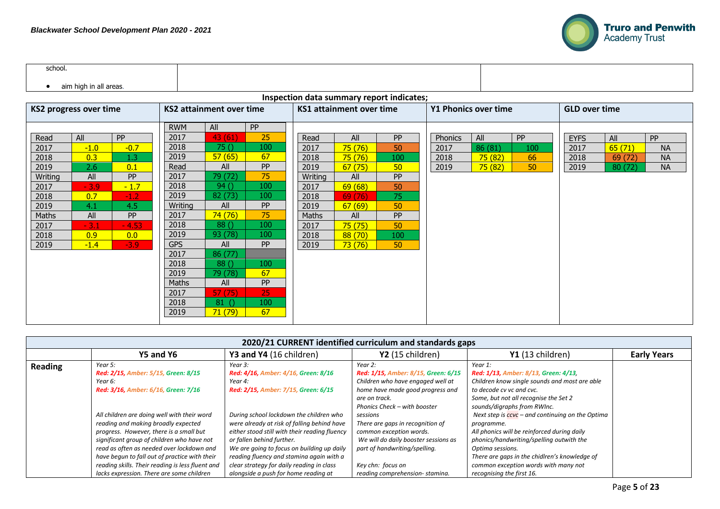

| school. |                        |  |
|---------|------------------------|--|
|         | aim high in all areas. |  |

## **Inspection data summary report indicates;**

| <b>KS2 progress over time</b> |        | <b>KS2 attainment over time</b> |            | KS1 attainment over time |           | <b>Y1 Phonics over time</b> |        |           | <b>GLD over time</b> |         |     |             |         |           |
|-------------------------------|--------|---------------------------------|------------|--------------------------|-----------|-----------------------------|--------|-----------|----------------------|---------|-----|-------------|---------|-----------|
|                               |        |                                 | <b>RWM</b> | All                      | <b>PP</b> |                             |        |           |                      |         |     |             |         |           |
| Read                          | All    | <b>PP</b>                       | 2017       | 43(61)                   | 25        | Read                        | All    | <b>PP</b> | Phonics              | All     | PP  | <b>EYFS</b> | All     | <b>PP</b> |
| 2017                          | $-1.0$ | $-0.7$                          | 2018       | 75()                     | 100       | 2017                        | 75(76) | 50        | 2017                 | 86 (81) | 100 | 2017        | 65(71)  | <b>NA</b> |
| 2018                          | 0.3    | 1.3                             | 2019       | 57(65)                   | 67        | 2018                        | 75(76) | 100       | 2018                 | 75(82)  | 66  | 2018        | 69 (72) | <b>NA</b> |
| 2019                          | 2.6    | 0.1                             | Read       | All                      | <b>PP</b> | 2019                        | 67(75) | 50        | 2019                 | 75(82)  | 50  | 2019        | 80 (72) | <b>NA</b> |
| Writing                       | All    | <b>PP</b>                       | 2017       | 79 (72)                  | 75        | Writing                     | All    | <b>PP</b> |                      |         |     |             |         |           |
| 2017                          | $-3.9$ | $-1.7$                          | 2018       | 94()                     | 100       | 2017                        | 69(68) | 50        |                      |         |     |             |         |           |
| 2018                          | 0.7    | $-1.2$                          | 2019       | 82 (73)                  | 100       | 2018                        | 69(76) | 75        |                      |         |     |             |         |           |
| 2019                          | 4.1    | 4.5                             | Writing    | All                      | <b>PP</b> | 2019                        | 67(69) | 50        |                      |         |     |             |         |           |
| Maths                         | All    | <b>PP</b>                       | 2017       | 74(76)                   | 75        | Maths                       | All    | <b>PP</b> |                      |         |     |             |         |           |
| 2017                          | $-3.1$ | $-4.53$                         | 2018       | 88()                     | 100       | 2017                        | 75(75) | 50        |                      |         |     |             |         |           |
| 2018                          | 0.9    | 0.0                             | 2019       | 93 (78)                  | 100       | 2018                        | 88(70) | 100       |                      |         |     |             |         |           |
| 2019                          | $-1.4$ | $-3.9$                          | <b>GPS</b> | All                      | <b>PP</b> | 2019                        | 73(76) | 50        |                      |         |     |             |         |           |
|                               |        |                                 | 2017       | 86 (77)                  |           |                             |        |           |                      |         |     |             |         |           |
|                               |        |                                 | 2018       | 88()                     | 100       |                             |        |           |                      |         |     |             |         |           |
|                               |        |                                 | 2019       | 79 (78)                  | 67        |                             |        |           |                      |         |     |             |         |           |
|                               |        |                                 | Maths      | All                      | <b>PP</b> |                             |        |           |                      |         |     |             |         |           |
|                               |        |                                 | 2017       | 57(75)                   | 25        |                             |        |           |                      |         |     |             |         |           |
|                               |        |                                 | 2018       | 81                       | 100       |                             |        |           |                      |         |     |             |         |           |
|                               |        |                                 | 2019       | 71(79)                   | 67        |                             |        |           |                      |         |     |             |         |           |
|                               |        |                                 |            |                          |           |                             |        |           |                      |         |     |             |         |           |

|         | 2020/21 CURRENT identified curriculum and standards gaps                                                                                                                                                                                                                                                                                                                   |                                                                                                                                                                                                                                                                                                                                                     |                                                                                                                                                                                                         |                                                                                                                                                                                                                                                                                                                                                                         |                    |  |  |  |  |  |
|---------|----------------------------------------------------------------------------------------------------------------------------------------------------------------------------------------------------------------------------------------------------------------------------------------------------------------------------------------------------------------------------|-----------------------------------------------------------------------------------------------------------------------------------------------------------------------------------------------------------------------------------------------------------------------------------------------------------------------------------------------------|---------------------------------------------------------------------------------------------------------------------------------------------------------------------------------------------------------|-------------------------------------------------------------------------------------------------------------------------------------------------------------------------------------------------------------------------------------------------------------------------------------------------------------------------------------------------------------------------|--------------------|--|--|--|--|--|
|         | Y5 and Y6                                                                                                                                                                                                                                                                                                                                                                  | Y3 and Y4 (16 children)                                                                                                                                                                                                                                                                                                                             | Y2 (15 children)                                                                                                                                                                                        | Y1 (13 children)                                                                                                                                                                                                                                                                                                                                                        | <b>Early Years</b> |  |  |  |  |  |
| Reading | Year 5:<br>Red: 2/15, Amber: 5/15, Green: 8/15<br>Year 6:<br>Red: 3/16, Amber: 6/16, Green: 7/16                                                                                                                                                                                                                                                                           | Year 3:<br>Red: 4/16, Amber: 4/16, Green: 8/16<br>Year 4:<br>Red: 2/15, Amber: 7/15, Green: 6/15                                                                                                                                                                                                                                                    | Year 2:<br>Red: 1/15, Amber: 8/15, Green: 6/15<br>Children who have engaged well at<br>home have made good progress and<br>are on track.<br>Phonics Check - with booster                                | Year 1:<br>Red: 1/13, Amber: 8/13, Green: 4/13,<br>Children know single sounds and most are able<br>to decode cv vc and cvc.<br>Some, but not all recognise the Set 2<br>sounds/digraphs from RWInc.                                                                                                                                                                    |                    |  |  |  |  |  |
|         | All children are doing well with their word<br>reading and making broadly expected<br>progress. However, there is a small but<br>significant group of children who have not<br>read as often as needed over lockdown and<br>have begun to fall out of practice with their<br>reading skills. Their reading is less fluent and<br>lacks expression. There are some children | During school lockdown the children who<br>were already at risk of falling behind have<br>either stood still with their reading fluency<br>or fallen behind further.<br>We are going to focus on building up daily<br>reading fluency and stamina again with a<br>clear strategy for daily reading in class<br>alongside a push for home reading at | sessions<br>There are gaps in recognition of<br>common exception words.<br>We will do daily booster sessions as<br>part of handwriting/spelling.<br>Key chn: focus on<br>reading comprehension-stamina. | Next step is $\frac{\text{c} \text{c} \text{v} \text{c}}{\text{c} \text{v} \text{c}}$ – and continuing on the Optima<br>programme.<br>All phonics will be reinforced during daily<br>phonics/handwriting/spelling outwith the<br>Optima sessions.<br>There are gaps in the chidlren's knowledge of<br>common exception words with many not<br>recognising the first 16. |                    |  |  |  |  |  |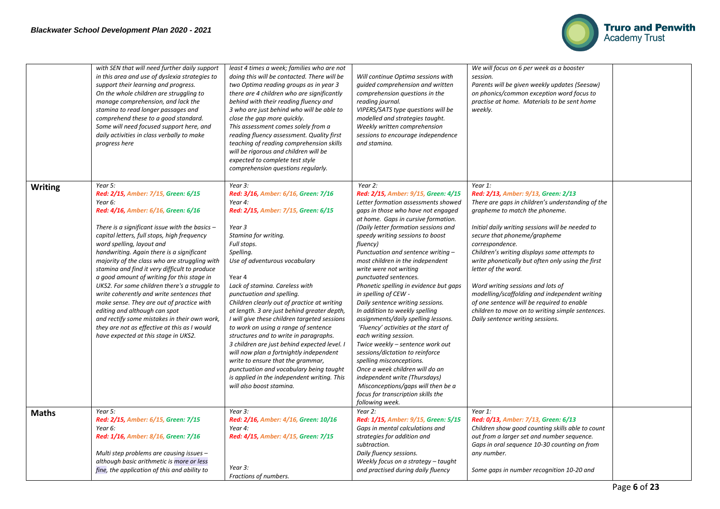

|                | with SEN that will need further daily support<br>in this area and use of dyslexia strategies to<br>support their learning and progress.<br>On the whole children are struggling to<br>manage comprehension, and lack the<br>stamina to read longer passages and<br>comprehend these to a good standard.<br>Some will need focused support here, and<br>daily activities in class verbally to make<br>progress here                                                                                                                                                                                                                                                                                                                     | least 4 times a week; families who are not<br>doing this will be contacted. There will be<br>two Optima reading groups as in year 3<br>there are 4 children who are significantly<br>behind with their reading fluency and<br>3 who are just behind who will be able to<br>close the gap more quickly.<br>This assessment comes solely from a<br>reading fluency assessment. Quality first<br>teaching of reading comprehension skills<br>will be rigorous and children will be                                                                                                                                                                                                                                                                     | Will continue Optima sessions with<br>quided comprehension and written<br>comprehension questions in the<br>reading journal.<br>VIPERS/SATS type questions will be<br>modelled and strategies taught.<br>Weekly written comprehension<br>sessions to encourage independence<br>and stamina.                                                                                                                                                                                                                                                                                                                                                                                                                                                                                                                                                                                                        | We will focus on 6 per week as a booster<br>session.<br>Parents will be given weekly updates (Seesaw)<br>on phonics/common exception word focus to<br>practise at home. Materials to be sent home<br>weekly.                                                                                                                                                                                                                                                                                                                                                                              |  |
|----------------|----------------------------------------------------------------------------------------------------------------------------------------------------------------------------------------------------------------------------------------------------------------------------------------------------------------------------------------------------------------------------------------------------------------------------------------------------------------------------------------------------------------------------------------------------------------------------------------------------------------------------------------------------------------------------------------------------------------------------------------|-----------------------------------------------------------------------------------------------------------------------------------------------------------------------------------------------------------------------------------------------------------------------------------------------------------------------------------------------------------------------------------------------------------------------------------------------------------------------------------------------------------------------------------------------------------------------------------------------------------------------------------------------------------------------------------------------------------------------------------------------------|----------------------------------------------------------------------------------------------------------------------------------------------------------------------------------------------------------------------------------------------------------------------------------------------------------------------------------------------------------------------------------------------------------------------------------------------------------------------------------------------------------------------------------------------------------------------------------------------------------------------------------------------------------------------------------------------------------------------------------------------------------------------------------------------------------------------------------------------------------------------------------------------------|-------------------------------------------------------------------------------------------------------------------------------------------------------------------------------------------------------------------------------------------------------------------------------------------------------------------------------------------------------------------------------------------------------------------------------------------------------------------------------------------------------------------------------------------------------------------------------------------|--|
| <b>Writing</b> | Year 5:                                                                                                                                                                                                                                                                                                                                                                                                                                                                                                                                                                                                                                                                                                                                | expected to complete test style<br>comprehension questions regularly.<br>Year 3:                                                                                                                                                                                                                                                                                                                                                                                                                                                                                                                                                                                                                                                                    | Year 2:                                                                                                                                                                                                                                                                                                                                                                                                                                                                                                                                                                                                                                                                                                                                                                                                                                                                                            | Year 1:                                                                                                                                                                                                                                                                                                                                                                                                                                                                                                                                                                                   |  |
|                | Red: 2/15, Amber: 7/15, Green: 6/15<br>Year 6:<br>Red: 4/16, Amber: 6/16, Green: 6/16<br>There is a significant issue with the basics $-$<br>capital letters, full stops, high frequency<br>word spelling, layout and<br>handwriting. Again there is a significant<br>majority of the class who are struggling with<br>stamina and find it very difficult to produce<br>a good amount of writing for this stage in<br>UKS2. For some children there's a struggle to<br>write coherently and write sentences that<br>make sense. They are out of practice with<br>editing and although can spot<br>and rectify some mistakes in their own work,<br>they are not as effective at this as I would<br>have expected at this stage in UKS2. | Red: 3/16, Amber: 6/16, Green: 7/16<br>Year 4:<br>Red: 2/15, Amber: 7/15, Green: 6/15<br>Year 3<br>Stamina for writing.<br>Full stops.<br>Spelling.<br>Use of adventurous vocabulary<br>Year 4<br>Lack of stamina. Careless with<br>punctuation and spelling.<br>Children clearly out of practice at writing<br>at length. 3 are just behind greater depth,<br>I will give these children targeted sessions<br>to work on using a range of sentence<br>structures and to write in paragraphs.<br>3 children are just behind expected level. I<br>will now plan a fortnightly independent<br>write to ensure that the grammar,<br>punctuation and vocabulary being taught<br>is applied in the independent writing. This<br>will also boost stamina. | Red: 2/15, Amber: 9/15, Green: 4/15<br>Letter formation assessments showed<br>gaps in those who have not engaged<br>at home. Gaps in cursive formation.<br>(Daily letter formation sessions and<br>speedy writing sessions to boost<br>fluency)<br>Punctuation and sentence writing -<br>most children in the independent<br>write were not writing<br>punctuated sentences.<br>Phonetic spelling in evidence but gaps<br>in spelling of CEW -<br>Daily sentence writing sessions.<br>In addition to weekly spelling<br>assignments/daily spelling lessons.<br>'Fluency' activities at the start of<br>each writing session.<br>Twice weekly - sentence work out<br>sessions/dictation to reinforce<br>spelling misconceptions.<br>Once a week children will do an<br>independent write (Thursdays)<br>Misconceptions/gaps will then be a<br>focus for transcription skills the<br>following week. | Red: 2/13, Amber: 9/13, Green: 2/13<br>There are gaps in children's understanding of the<br>grapheme to match the phoneme.<br>Initial daily writing sessions will be needed to<br>secure that phoneme/grapheme<br>correspondence.<br>Children's writing displays some attempts to<br>write phonetically but often only using the first<br>letter of the word.<br>Word writing sessions and lots of<br>modelling/scaffolding and independent writing<br>of one sentence will be required to enable<br>children to move on to writing simple sentences.<br>Daily sentence writing sessions. |  |
| <b>Maths</b>   | Year 5:<br>Red: 2/15, Amber: 6/15, Green: 7/15<br>Year 6:<br>Red: 1/16, Amber: 8/16, Green: 7/16<br>Multi step problems are causing issues -<br>although basic arithmetic is more or less                                                                                                                                                                                                                                                                                                                                                                                                                                                                                                                                              | Year 3:<br>Red: 2/16, Amber: 4/16, Green: 10/16<br>Year 4:<br>Red: 4/15, Amber: 4/15, Green: 7/15<br>Year 3:                                                                                                                                                                                                                                                                                                                                                                                                                                                                                                                                                                                                                                        | Year 2:<br>Red: 1/15, Amber: 9/15, Green: 5/15<br>Gaps in mental calculations and<br>strategies for addition and<br>subtraction.<br>Daily fluency sessions.<br>Weekly focus on a strategy - taught                                                                                                                                                                                                                                                                                                                                                                                                                                                                                                                                                                                                                                                                                                 | Year 1:<br>Red: 0/13, Amber: 7/13, Green: 6/13<br>Children show good counting skills able to count<br>out from a larger set and number sequence.<br>Gaps in oral sequence 10-30 counting on from<br>any number.                                                                                                                                                                                                                                                                                                                                                                           |  |
|                | fine, the application of this and ability to                                                                                                                                                                                                                                                                                                                                                                                                                                                                                                                                                                                                                                                                                           | Fractions of numbers.                                                                                                                                                                                                                                                                                                                                                                                                                                                                                                                                                                                                                                                                                                                               | and practised during daily fluency                                                                                                                                                                                                                                                                                                                                                                                                                                                                                                                                                                                                                                                                                                                                                                                                                                                                 | Some gaps in number recognition 10-20 and                                                                                                                                                                                                                                                                                                                                                                                                                                                                                                                                                 |  |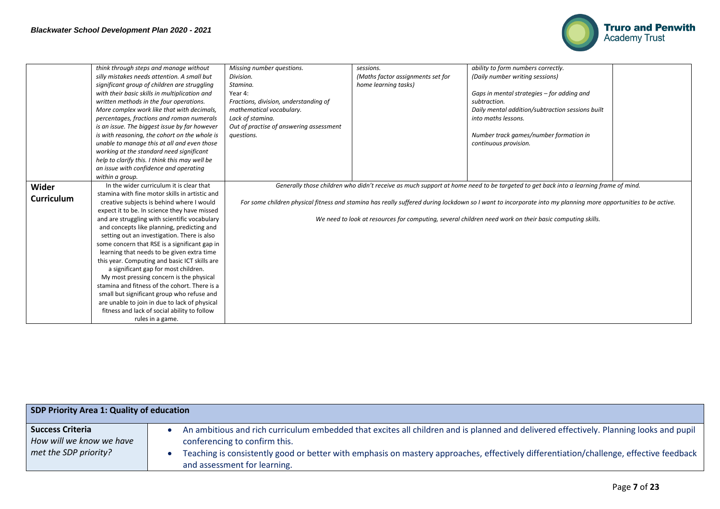

|                   | think through steps and manage without         | Missing number questions.               | sessions.                         | ability to form numbers correctly.                                                                                                                            |  |
|-------------------|------------------------------------------------|-----------------------------------------|-----------------------------------|---------------------------------------------------------------------------------------------------------------------------------------------------------------|--|
|                   | silly mistakes needs attention. A small but    | Division.                               | (Maths factor assignments set for | (Daily number writing sessions)                                                                                                                               |  |
|                   | significant group of children are struggling   | Stamina.                                | home learning tasks)              |                                                                                                                                                               |  |
|                   | with their basic skills in multiplication and  | Year 4:                                 |                                   | Gaps in mental strategies - for adding and                                                                                                                    |  |
|                   | written methods in the four operations.        | Fractions, division, understanding of   |                                   | subtraction.                                                                                                                                                  |  |
|                   | More complex work like that with decimals,     | mathematical vocabulary.                |                                   | Daily mental addition/subtraction sessions built                                                                                                              |  |
|                   | percentages, fractions and roman numerals      | Lack of stamina.                        |                                   | into maths lessons.                                                                                                                                           |  |
|                   | is an issue. The biggest issue by far however  | Out of practise of answering assessment |                                   |                                                                                                                                                               |  |
|                   | is with reasoning, the cohort on the whole is  | questions.                              |                                   | Number track games/number formation in                                                                                                                        |  |
|                   | unable to manage this at all and even those    |                                         |                                   | continuous provision.                                                                                                                                         |  |
|                   | working at the standard need significant       |                                         |                                   |                                                                                                                                                               |  |
|                   | help to clarify this. I think this may well be |                                         |                                   |                                                                                                                                                               |  |
|                   | an issue with confidence and operating         |                                         |                                   |                                                                                                                                                               |  |
|                   | within a group.                                |                                         |                                   |                                                                                                                                                               |  |
| Wider             | In the wider curriculum it is clear that       |                                         |                                   | Generally those children who didn't receive as much support at home need to be targeted to get back into a learning frame of mind.                            |  |
|                   | stamina with fine motor skills in artistic and |                                         |                                   |                                                                                                                                                               |  |
| <b>Curriculum</b> | creative subjects is behind where I would      |                                         |                                   | For some children physical fitness and stamina has really suffered during lockdown so I want to incorporate into my planning more opportunities to be active. |  |
|                   | expect it to be. In science they have missed   |                                         |                                   |                                                                                                                                                               |  |
|                   | and are struggling with scientific vocabulary  |                                         |                                   | We need to look at resources for computing, several children need work on their basic computing skills.                                                       |  |
|                   | and concepts like planning, predicting and     |                                         |                                   |                                                                                                                                                               |  |
|                   | setting out an investigation. There is also    |                                         |                                   |                                                                                                                                                               |  |
|                   | some concern that RSE is a significant gap in  |                                         |                                   |                                                                                                                                                               |  |
|                   | learning that needs to be given extra time     |                                         |                                   |                                                                                                                                                               |  |
|                   | this year. Computing and basic ICT skills are  |                                         |                                   |                                                                                                                                                               |  |
|                   | a significant gap for most children.           |                                         |                                   |                                                                                                                                                               |  |
|                   | My most pressing concern is the physical       |                                         |                                   |                                                                                                                                                               |  |
|                   | stamina and fitness of the cohort. There is a  |                                         |                                   |                                                                                                                                                               |  |
|                   | small but significant group who refuse and     |                                         |                                   |                                                                                                                                                               |  |
|                   | are unable to join in due to lack of physical  |                                         |                                   |                                                                                                                                                               |  |
|                   | fitness and lack of social ability to follow   |                                         |                                   |                                                                                                                                                               |  |
|                   | rules in a game.                               |                                         |                                   |                                                                                                                                                               |  |

| SDP Priority Area 1: Quality of education           |                                                                                                                                                                         |  |  |  |  |
|-----------------------------------------------------|-------------------------------------------------------------------------------------------------------------------------------------------------------------------------|--|--|--|--|
| <b>Success Criteria</b><br>How will we know we have | An ambitious and rich curriculum embedded that excites all children and is planned and delivered effectively. Planning looks and pupil<br>conferencing to confirm this. |  |  |  |  |
| met the SDP priority?                               | Teaching is consistently good or better with emphasis on mastery approaches, effectively differentiation/challenge, effective feedback<br>and assessment for learning.  |  |  |  |  |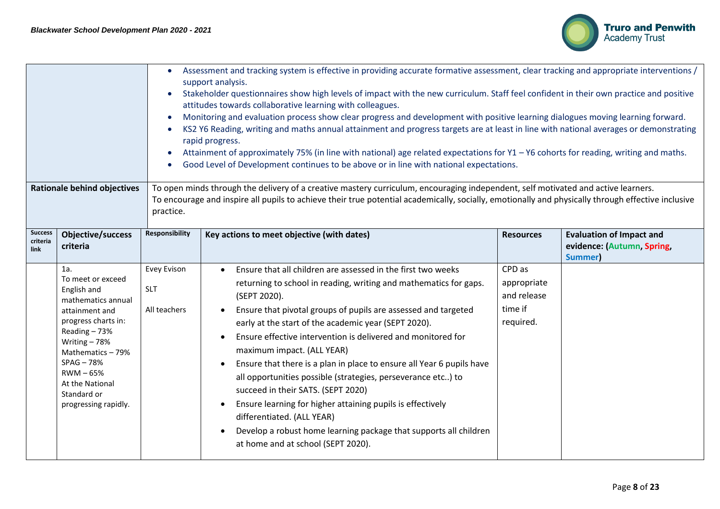

| Assessment and tracking system is effective in providing accurate formative assessment, clear tracking and appropriate interventions /<br>support analysis.<br>Stakeholder questionnaires show high levels of impact with the new curriculum. Staff feel confident in their own practice and positive<br>attitudes towards collaborative learning with colleagues.<br>Monitoring and evaluation process show clear progress and development with positive learning dialogues moving learning forward.<br>KS2 Y6 Reading, writing and maths annual attainment and progress targets are at least in line with national averages or demonstrating<br>rapid progress.<br>Attainment of approximately 75% (in line with national) age related expectations for Y1 - Y6 cohorts for reading, writing and maths.<br>Good Level of Development continues to be above or in line with national expectations.<br><b>Rationale behind objectives</b><br>To open minds through the delivery of a creative mastery curriculum, encouraging independent, self motivated and active learners.<br>To encourage and inspire all pupils to achieve their true potential academically, socially, emotionally and physically through effective inclusive<br>practice. |                                                                                                                                                                                                                                                    |                                           |                                                                                                                                                                                                                                                                                                                                                                                                                                                                                                                                                                                                                                                                                                                                                                                           |                                                              |                                                                          |  |
|---------------------------------------------------------------------------------------------------------------------------------------------------------------------------------------------------------------------------------------------------------------------------------------------------------------------------------------------------------------------------------------------------------------------------------------------------------------------------------------------------------------------------------------------------------------------------------------------------------------------------------------------------------------------------------------------------------------------------------------------------------------------------------------------------------------------------------------------------------------------------------------------------------------------------------------------------------------------------------------------------------------------------------------------------------------------------------------------------------------------------------------------------------------------------------------------------------------------------------------------------|----------------------------------------------------------------------------------------------------------------------------------------------------------------------------------------------------------------------------------------------------|-------------------------------------------|-------------------------------------------------------------------------------------------------------------------------------------------------------------------------------------------------------------------------------------------------------------------------------------------------------------------------------------------------------------------------------------------------------------------------------------------------------------------------------------------------------------------------------------------------------------------------------------------------------------------------------------------------------------------------------------------------------------------------------------------------------------------------------------------|--------------------------------------------------------------|--------------------------------------------------------------------------|--|
| <b>Success</b><br>criteria<br>link                                                                                                                                                                                                                                                                                                                                                                                                                                                                                                                                                                                                                                                                                                                                                                                                                                                                                                                                                                                                                                                                                                                                                                                                                | <b>Objective/success</b><br>criteria                                                                                                                                                                                                               | Responsibility                            | Key actions to meet objective (with dates)                                                                                                                                                                                                                                                                                                                                                                                                                                                                                                                                                                                                                                                                                                                                                | <b>Resources</b>                                             | <b>Evaluation of Impact and</b><br>evidence: (Autumn, Spring,<br>Summer) |  |
|                                                                                                                                                                                                                                                                                                                                                                                                                                                                                                                                                                                                                                                                                                                                                                                                                                                                                                                                                                                                                                                                                                                                                                                                                                                   | 1a.<br>To meet or exceed<br>English and<br>mathematics annual<br>attainment and<br>progress charts in:<br>Reading $-73%$<br>Writing $-78%$<br>Mathematics-79%<br>$SPAG - 78%$<br>RWM-65%<br>At the National<br>Standard or<br>progressing rapidly. | Evey Evison<br><b>SLT</b><br>All teachers | Ensure that all children are assessed in the first two weeks<br>$\bullet$<br>returning to school in reading, writing and mathematics for gaps.<br>(SEPT 2020).<br>Ensure that pivotal groups of pupils are assessed and targeted<br>early at the start of the academic year (SEPT 2020).<br>Ensure effective intervention is delivered and monitored for<br>maximum impact. (ALL YEAR)<br>Ensure that there is a plan in place to ensure all Year 6 pupils have<br>all opportunities possible (strategies, perseverance etc) to<br>succeed in their SATS. (SEPT 2020)<br>Ensure learning for higher attaining pupils is effectively<br>$\bullet$<br>differentiated. (ALL YEAR)<br>Develop a robust home learning package that supports all children<br>at home and at school (SEPT 2020). | CPD as<br>appropriate<br>and release<br>time if<br>required. |                                                                          |  |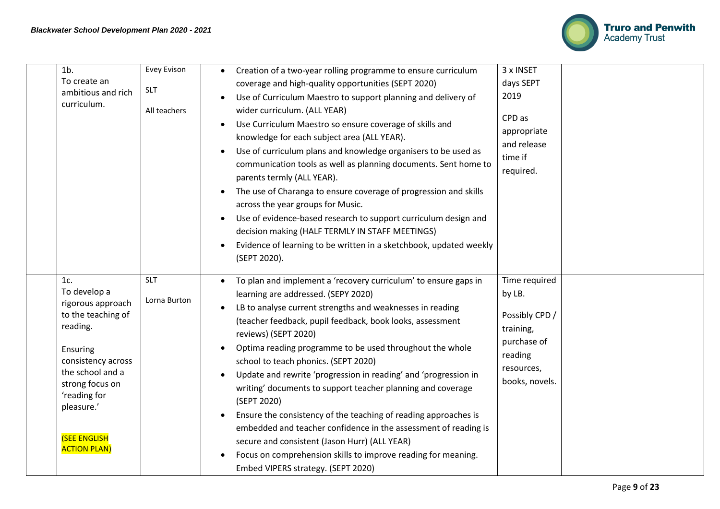

| $1b$ .<br>To create an<br>ambitious and rich<br>curriculum.                                                                                                                                                                     | Evey Evison<br><b>SLT</b><br>All teachers | Creation of a two-year rolling programme to ensure curriculum<br>coverage and high-quality opportunities (SEPT 2020)<br>Use of Curriculum Maestro to support planning and delivery of<br>wider curriculum. (ALL YEAR)<br>Use Curriculum Maestro so ensure coverage of skills and<br>$\bullet$<br>knowledge for each subject area (ALL YEAR).<br>Use of curriculum plans and knowledge organisers to be used as<br>communication tools as well as planning documents. Sent home to<br>parents termly (ALL YEAR).<br>The use of Charanga to ensure coverage of progression and skills<br>across the year groups for Music.<br>Use of evidence-based research to support curriculum design and<br>decision making (HALF TERMLY IN STAFF MEETINGS)<br>Evidence of learning to be written in a sketchbook, updated weekly<br>(SEPT 2020). | 3 x INSET<br>days SEPT<br>2019<br>CPD as<br>appropriate<br>and release<br>time if<br>required.                   |
|---------------------------------------------------------------------------------------------------------------------------------------------------------------------------------------------------------------------------------|-------------------------------------------|--------------------------------------------------------------------------------------------------------------------------------------------------------------------------------------------------------------------------------------------------------------------------------------------------------------------------------------------------------------------------------------------------------------------------------------------------------------------------------------------------------------------------------------------------------------------------------------------------------------------------------------------------------------------------------------------------------------------------------------------------------------------------------------------------------------------------------------|------------------------------------------------------------------------------------------------------------------|
| 1c.<br>To develop a<br>rigorous approach<br>to the teaching of<br>reading.<br>Ensuring<br>consistency across<br>the school and a<br>strong focus on<br>'reading for<br>pleasure.'<br><b>(SEE ENGLISH</b><br><b>ACTION PLAN)</b> | <b>SLT</b><br>Lorna Burton                | To plan and implement a 'recovery curriculum' to ensure gaps in<br>learning are addressed. (SEPY 2020)<br>LB to analyse current strengths and weaknesses in reading<br>(teacher feedback, pupil feedback, book looks, assessment<br>reviews) (SEPT 2020)<br>Optima reading programme to be used throughout the whole<br>school to teach phonics. (SEPT 2020)<br>Update and rewrite 'progression in reading' and 'progression in<br>writing' documents to support teacher planning and coverage<br>(SEPT 2020)<br>Ensure the consistency of the teaching of reading approaches is<br>$\bullet$<br>embedded and teacher confidence in the assessment of reading is<br>secure and consistent (Jason Hurr) (ALL YEAR)<br>Focus on comprehension skills to improve reading for meaning.<br>Embed VIPERS strategy. (SEPT 2020)             | Time required<br>by LB.<br>Possibly CPD /<br>training,<br>purchase of<br>reading<br>resources,<br>books, novels. |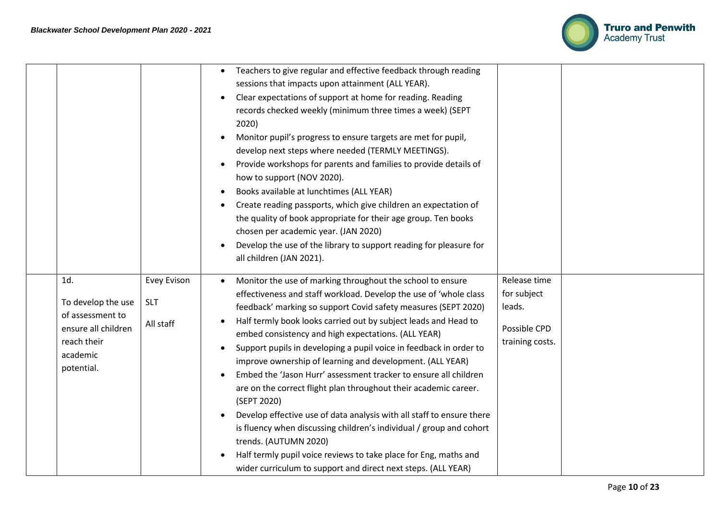

|                                                                                                               |                                               | Teachers to give regular and effective feedback through reading<br>sessions that impacts upon attainment (ALL YEAR).<br>Clear expectations of support at home for reading. Reading<br>records checked weekly (minimum three times a week) (SEPT<br>2020)<br>Monitor pupil's progress to ensure targets are met for pupil,<br>develop next steps where needed (TERMLY MEETINGS).<br>Provide workshops for parents and families to provide details of<br>how to support (NOV 2020).<br>Books available at lunchtimes (ALL YEAR)<br>$\bullet$<br>Create reading passports, which give children an expectation of<br>the quality of book appropriate for their age group. Ten books<br>chosen per academic year. (JAN 2020)<br>Develop the use of the library to support reading for pleasure for<br>all children (JAN 2021).                                                                                                           |                                                                          |
|---------------------------------------------------------------------------------------------------------------|-----------------------------------------------|-------------------------------------------------------------------------------------------------------------------------------------------------------------------------------------------------------------------------------------------------------------------------------------------------------------------------------------------------------------------------------------------------------------------------------------------------------------------------------------------------------------------------------------------------------------------------------------------------------------------------------------------------------------------------------------------------------------------------------------------------------------------------------------------------------------------------------------------------------------------------------------------------------------------------------------|--------------------------------------------------------------------------|
| 1d.<br>To develop the use<br>of assessment to<br>ensure all children<br>reach their<br>academic<br>potential. | <b>Evey Evison</b><br><b>SLT</b><br>All staff | Monitor the use of marking throughout the school to ensure<br>effectiveness and staff workload. Develop the use of 'whole class<br>feedback' marking so support Covid safety measures (SEPT 2020)<br>Half termly book looks carried out by subject leads and Head to<br>embed consistency and high expectations. (ALL YEAR)<br>Support pupils in developing a pupil voice in feedback in order to<br>improve ownership of learning and development. (ALL YEAR)<br>Embed the 'Jason Hurr' assessment tracker to ensure all children<br>are on the correct flight plan throughout their academic career.<br>(SEPT 2020)<br>Develop effective use of data analysis with all staff to ensure there<br>is fluency when discussing children's individual / group and cohort<br>trends. (AUTUMN 2020)<br>Half termly pupil voice reviews to take place for Eng, maths and<br>wider curriculum to support and direct next steps. (ALL YEAR) | Release time<br>for subject<br>leads.<br>Possible CPD<br>training costs. |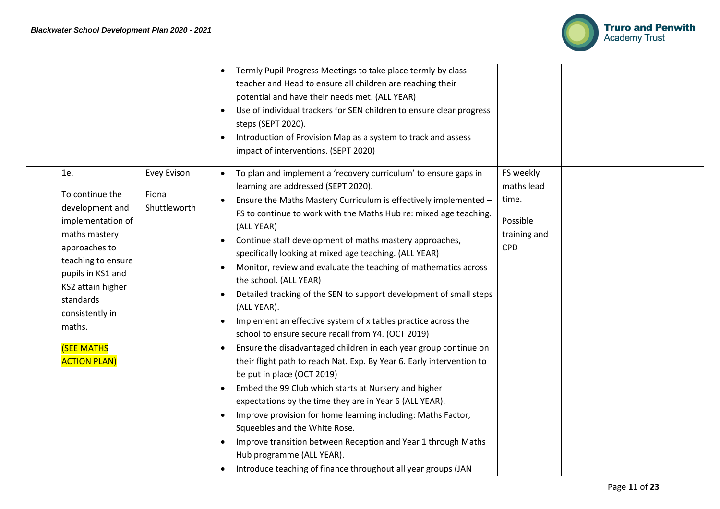

|                                                                                                                                                                                                                                                        |                                      | Termly Pupil Progress Meetings to take place termly by class<br>teacher and Head to ensure all children are reaching their<br>potential and have their needs met. (ALL YEAR)<br>Use of individual trackers for SEN children to ensure clear progress<br>steps (SEPT 2020).<br>Introduction of Provision Map as a system to track and assess<br>impact of interventions. (SEPT 2020)                                                                                                                                                                                                                                                                                                                                                                                                                                                                                                                                                                                                                                                                                                                                                                                                                                                                                                                                                     |
|--------------------------------------------------------------------------------------------------------------------------------------------------------------------------------------------------------------------------------------------------------|--------------------------------------|-----------------------------------------------------------------------------------------------------------------------------------------------------------------------------------------------------------------------------------------------------------------------------------------------------------------------------------------------------------------------------------------------------------------------------------------------------------------------------------------------------------------------------------------------------------------------------------------------------------------------------------------------------------------------------------------------------------------------------------------------------------------------------------------------------------------------------------------------------------------------------------------------------------------------------------------------------------------------------------------------------------------------------------------------------------------------------------------------------------------------------------------------------------------------------------------------------------------------------------------------------------------------------------------------------------------------------------------|
| 1e.<br>To continue the<br>development and<br>implementation of<br>maths mastery<br>approaches to<br>teaching to ensure<br>pupils in KS1 and<br>KS2 attain higher<br>standards<br>consistently in<br>maths.<br><b>(SEE MATHS</b><br><b>ACTION PLAN)</b> | Evey Evison<br>Fiona<br>Shuttleworth | FS weekly<br>To plan and implement a 'recovery curriculum' to ensure gaps in<br>maths lead<br>learning are addressed (SEPT 2020).<br>time.<br>Ensure the Maths Mastery Curriculum is effectively implemented -<br>FS to continue to work with the Maths Hub re: mixed age teaching.<br>Possible<br>(ALL YEAR)<br>training and<br>Continue staff development of maths mastery approaches,<br><b>CPD</b><br>specifically looking at mixed age teaching. (ALL YEAR)<br>Monitor, review and evaluate the teaching of mathematics across<br>the school. (ALL YEAR)<br>Detailed tracking of the SEN to support development of small steps<br>(ALL YEAR).<br>Implement an effective system of x tables practice across the<br>school to ensure secure recall from Y4. (OCT 2019)<br>Ensure the disadvantaged children in each year group continue on<br>their flight path to reach Nat. Exp. By Year 6. Early intervention to<br>be put in place (OCT 2019)<br>Embed the 99 Club which starts at Nursery and higher<br>expectations by the time they are in Year 6 (ALL YEAR).<br>Improve provision for home learning including: Maths Factor,<br>Squeebles and the White Rose.<br>Improve transition between Reception and Year 1 through Maths<br>Hub programme (ALL YEAR).<br>Introduce teaching of finance throughout all year groups (JAN |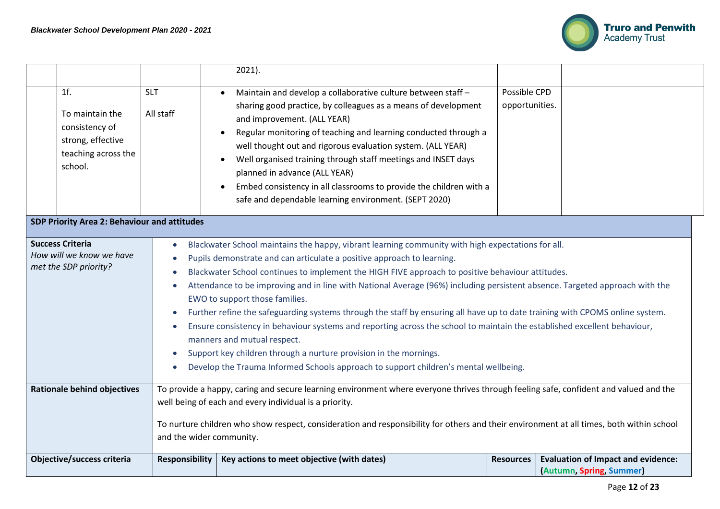

|                                                                                                                                                                                                                                                                                                                                                                                                                                                                                                                                                                                                                                                                                                                                                                                                                                                                                                                                                                                                                                                                                                  |                                                                                                 |                                                                                                                                                                                                                                                                                                                                                                        | $2021$ ).                                                                                                                                                                                                                                                                                                                                                                                                                                                                                                                                     |                                |                                                                       |  |  |  |
|--------------------------------------------------------------------------------------------------------------------------------------------------------------------------------------------------------------------------------------------------------------------------------------------------------------------------------------------------------------------------------------------------------------------------------------------------------------------------------------------------------------------------------------------------------------------------------------------------------------------------------------------------------------------------------------------------------------------------------------------------------------------------------------------------------------------------------------------------------------------------------------------------------------------------------------------------------------------------------------------------------------------------------------------------------------------------------------------------|-------------------------------------------------------------------------------------------------|------------------------------------------------------------------------------------------------------------------------------------------------------------------------------------------------------------------------------------------------------------------------------------------------------------------------------------------------------------------------|-----------------------------------------------------------------------------------------------------------------------------------------------------------------------------------------------------------------------------------------------------------------------------------------------------------------------------------------------------------------------------------------------------------------------------------------------------------------------------------------------------------------------------------------------|--------------------------------|-----------------------------------------------------------------------|--|--|--|
|                                                                                                                                                                                                                                                                                                                                                                                                                                                                                                                                                                                                                                                                                                                                                                                                                                                                                                                                                                                                                                                                                                  | 1f.<br>To maintain the<br>consistency of<br>strong, effective<br>teaching across the<br>school. | <b>SLT</b><br>All staff                                                                                                                                                                                                                                                                                                                                                | Maintain and develop a collaborative culture between staff -<br>$\bullet$<br>sharing good practice, by colleagues as a means of development<br>and improvement. (ALL YEAR)<br>Regular monitoring of teaching and learning conducted through a<br>well thought out and rigorous evaluation system. (ALL YEAR)<br>Well organised training through staff meetings and INSET days<br>planned in advance (ALL YEAR)<br>Embed consistency in all classrooms to provide the children with a<br>safe and dependable learning environment. (SEPT 2020) | Possible CPD<br>opportunities. |                                                                       |  |  |  |
|                                                                                                                                                                                                                                                                                                                                                                                                                                                                                                                                                                                                                                                                                                                                                                                                                                                                                                                                                                                                                                                                                                  | SDP Priority Area 2: Behaviour and attitudes                                                    |                                                                                                                                                                                                                                                                                                                                                                        |                                                                                                                                                                                                                                                                                                                                                                                                                                                                                                                                               |                                |                                                                       |  |  |  |
| <b>Success Criteria</b><br>Blackwater School maintains the happy, vibrant learning community with high expectations for all.<br>$\bullet$<br>How will we know we have<br>Pupils demonstrate and can articulate a positive approach to learning.<br>$\bullet$<br>met the SDP priority?<br>Blackwater School continues to implement the HIGH FIVE approach to positive behaviour attitudes.<br>$\bullet$<br>Attendance to be improving and in line with National Average (96%) including persistent absence. Targeted approach with the<br>$\bullet$<br>EWO to support those families.<br>Further refine the safeguarding systems through the staff by ensuring all have up to date training with CPOMS online system.<br>$\bullet$<br>Ensure consistency in behaviour systems and reporting across the school to maintain the established excellent behaviour,<br>$\bullet$<br>manners and mutual respect.<br>Support key children through a nurture provision in the mornings.<br>$\bullet$<br>Develop the Trauma Informed Schools approach to support children's mental wellbeing.<br>$\bullet$ |                                                                                                 |                                                                                                                                                                                                                                                                                                                                                                        |                                                                                                                                                                                                                                                                                                                                                                                                                                                                                                                                               |                                |                                                                       |  |  |  |
|                                                                                                                                                                                                                                                                                                                                                                                                                                                                                                                                                                                                                                                                                                                                                                                                                                                                                                                                                                                                                                                                                                  | <b>Rationale behind objectives</b>                                                              | To provide a happy, caring and secure learning environment where everyone thrives through feeling safe, confident and valued and the<br>well being of each and every individual is a priority.<br>To nurture children who show respect, consideration and responsibility for others and their environment at all times, both within school<br>and the wider community. |                                                                                                                                                                                                                                                                                                                                                                                                                                                                                                                                               |                                |                                                                       |  |  |  |
|                                                                                                                                                                                                                                                                                                                                                                                                                                                                                                                                                                                                                                                                                                                                                                                                                                                                                                                                                                                                                                                                                                  | Objective/success criteria                                                                      | <b>Responsibility</b>                                                                                                                                                                                                                                                                                                                                                  | Key actions to meet objective (with dates)                                                                                                                                                                                                                                                                                                                                                                                                                                                                                                    | <b>Resources</b>               | <b>Evaluation of Impact and evidence:</b><br>(Autumn, Spring, Summer) |  |  |  |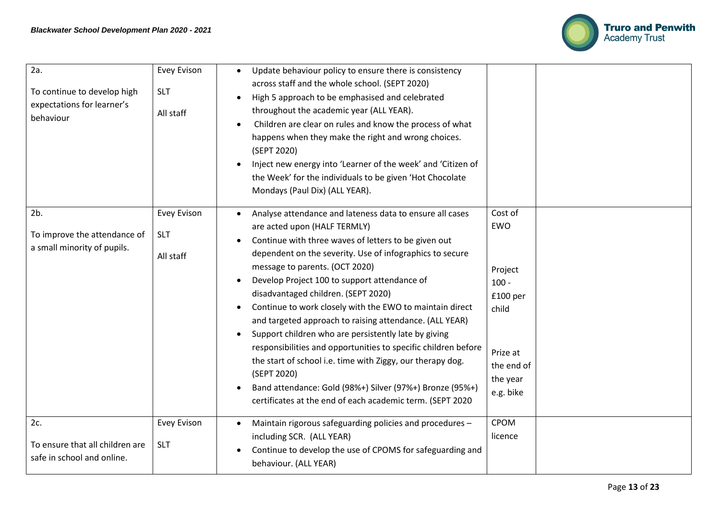

| 2a.<br>To continue to develop high<br>expectations for learner's<br>behaviour | <b>Evey Evison</b><br><b>SLT</b><br>All staff | Update behaviour policy to ensure there is consistency<br>across staff and the whole school. (SEPT 2020)<br>High 5 approach to be emphasised and celebrated<br>throughout the academic year (ALL YEAR).<br>Children are clear on rules and know the process of what<br>happens when they make the right and wrong choices.<br>(SEPT 2020)<br>Inject new energy into 'Learner of the week' and 'Citizen of<br>the Week' for the individuals to be given 'Hot Chocolate<br>Mondays (Paul Dix) (ALL YEAR).                                                                                                                                                                                                                                                                                                   |                                                                                                              |
|-------------------------------------------------------------------------------|-----------------------------------------------|-----------------------------------------------------------------------------------------------------------------------------------------------------------------------------------------------------------------------------------------------------------------------------------------------------------------------------------------------------------------------------------------------------------------------------------------------------------------------------------------------------------------------------------------------------------------------------------------------------------------------------------------------------------------------------------------------------------------------------------------------------------------------------------------------------------|--------------------------------------------------------------------------------------------------------------|
| 2b.<br>To improve the attendance of<br>a small minority of pupils.            | Evey Evison<br><b>SLT</b><br>All staff        | Analyse attendance and lateness data to ensure all cases<br>$\bullet$<br>are acted upon (HALF TERMLY)<br>Continue with three waves of letters to be given out<br>dependent on the severity. Use of infographics to secure<br>message to parents. (OCT 2020)<br>Develop Project 100 to support attendance of<br>disadvantaged children. (SEPT 2020)<br>Continue to work closely with the EWO to maintain direct<br>and targeted approach to raising attendance. (ALL YEAR)<br>Support children who are persistently late by giving<br>responsibilities and opportunities to specific children before<br>the start of school i.e. time with Ziggy, our therapy dog.<br>(SEPT 2020)<br>Band attendance: Gold (98%+) Silver (97%+) Bronze (95%+)<br>certificates at the end of each academic term. (SEPT 2020 | Cost of<br>EWO<br>Project<br>$100 -$<br>£100 per<br>child<br>Prize at<br>the end of<br>the year<br>e.g. bike |
| 2c.<br>To ensure that all children are<br>safe in school and online.          | <b>Evey Evison</b><br><b>SLT</b>              | Maintain rigorous safeguarding policies and procedures -<br>including SCR. (ALL YEAR)<br>Continue to develop the use of CPOMS for safeguarding and<br>behaviour. (ALL YEAR)                                                                                                                                                                                                                                                                                                                                                                                                                                                                                                                                                                                                                               | <b>CPOM</b><br>licence                                                                                       |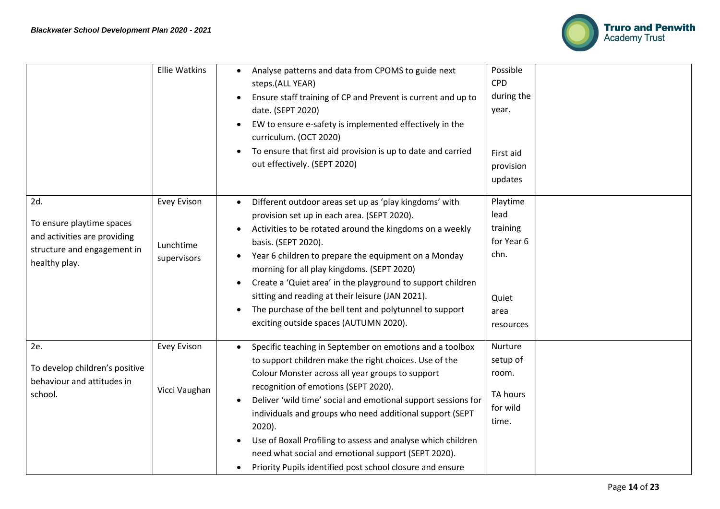

|                                                                                                                  | <b>Ellie Watkins</b>                    | Analyse patterns and data from CPOMS to guide next<br>steps.(ALL YEAR)<br>Ensure staff training of CP and Prevent is current and up to<br>date. (SEPT 2020)<br>EW to ensure e-safety is implemented effectively in the<br>curriculum. (OCT 2020)<br>To ensure that first aid provision is up to date and carried<br>out effectively. (SEPT 2020)                                                                                                                                                                                             | Possible<br><b>CPD</b><br>during the<br>year.<br>First aid<br>provision<br>updates |
|------------------------------------------------------------------------------------------------------------------|-----------------------------------------|----------------------------------------------------------------------------------------------------------------------------------------------------------------------------------------------------------------------------------------------------------------------------------------------------------------------------------------------------------------------------------------------------------------------------------------------------------------------------------------------------------------------------------------------|------------------------------------------------------------------------------------|
| 2d.<br>To ensure playtime spaces<br>and activities are providing<br>structure and engagement in<br>healthy play. | Evey Evison<br>Lunchtime<br>supervisors | Different outdoor areas set up as 'play kingdoms' with<br>$\bullet$<br>provision set up in each area. (SEPT 2020).<br>Activities to be rotated around the kingdoms on a weekly<br>basis. (SEPT 2020).<br>Year 6 children to prepare the equipment on a Monday<br>morning for all play kingdoms. (SEPT 2020)<br>Create a 'Quiet area' in the playground to support children<br>sitting and reading at their leisure (JAN 2021).<br>The purchase of the bell tent and polytunnel to support<br>exciting outside spaces (AUTUMN 2020).          | Playtime<br>lead<br>training<br>for Year 6<br>chn.<br>Quiet<br>area<br>resources   |
| 2e.<br>To develop children's positive<br>behaviour and attitudes in<br>school.                                   | <b>Evey Evison</b><br>Vicci Vaughan     | Specific teaching in September on emotions and a toolbox<br>to support children make the right choices. Use of the<br>Colour Monster across all year groups to support<br>recognition of emotions (SEPT 2020).<br>Deliver 'wild time' social and emotional support sessions for<br>individuals and groups who need additional support (SEPT<br>$2020$ ).<br>Use of Boxall Profiling to assess and analyse which children<br>need what social and emotional support (SEPT 2020).<br>Priority Pupils identified post school closure and ensure | Nurture<br>setup of<br>room.<br>TA hours<br>for wild<br>time.                      |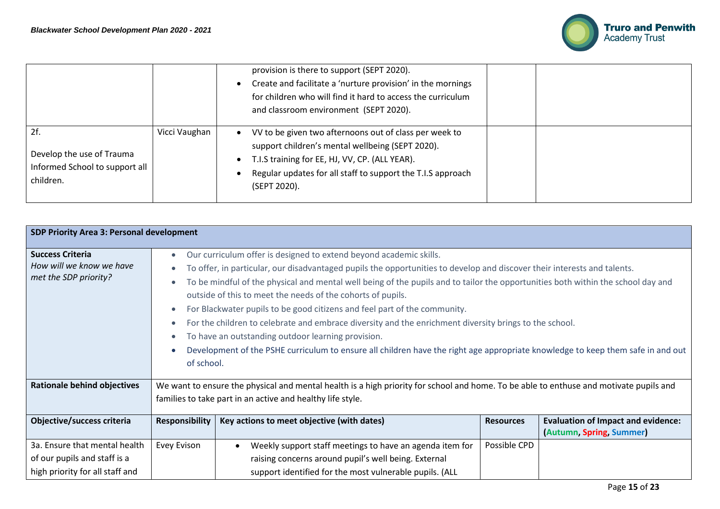

|                                                                                 |               | provision is there to support (SEPT 2020).<br>Create and facilitate a 'nurture provision' in the mornings<br>for children who will find it hard to access the curriculum<br>and classroom environment (SEPT 2020).                          |  |
|---------------------------------------------------------------------------------|---------------|---------------------------------------------------------------------------------------------------------------------------------------------------------------------------------------------------------------------------------------------|--|
| 2f.<br>Develop the use of Trauma<br>Informed School to support all<br>children. | Vicci Vaughan | VV to be given two afternoons out of class per week to<br>support children's mental wellbeing (SEPT 2020).<br>T.I.S training for EE, HJ, VV, CP. (ALL YEAR).<br>Regular updates for all staff to support the T.I.S approach<br>(SEPT 2020). |  |

| SDP Priority Area 3: Personal development                                                        |                                                                                                                                                                                                      |                                                                                                                                                                                                                                                                                                                                                                                                                                                                                                                                                                                                                                                                                                                                                                                   |                  |                                                                       |  |
|--------------------------------------------------------------------------------------------------|------------------------------------------------------------------------------------------------------------------------------------------------------------------------------------------------------|-----------------------------------------------------------------------------------------------------------------------------------------------------------------------------------------------------------------------------------------------------------------------------------------------------------------------------------------------------------------------------------------------------------------------------------------------------------------------------------------------------------------------------------------------------------------------------------------------------------------------------------------------------------------------------------------------------------------------------------------------------------------------------------|------------------|-----------------------------------------------------------------------|--|
| <b>Success Criteria</b><br>How will we know we have<br>met the SDP priority?                     | $\bullet$<br>٠<br>٠<br>$\bullet$<br>$\bullet$<br>$\bullet$<br>$\bullet$<br>of school.                                                                                                                | Our curriculum offer is designed to extend beyond academic skills.<br>To offer, in particular, our disadvantaged pupils the opportunities to develop and discover their interests and talents.<br>To be mindful of the physical and mental well being of the pupils and to tailor the opportunities both within the school day and<br>outside of this to meet the needs of the cohorts of pupils.<br>For Blackwater pupils to be good citizens and feel part of the community.<br>For the children to celebrate and embrace diversity and the enrichment diversity brings to the school.<br>To have an outstanding outdoor learning provision.<br>Development of the PSHE curriculum to ensure all children have the right age appropriate knowledge to keep them safe in and out |                  |                                                                       |  |
| <b>Rationale behind objectives</b>                                                               | We want to ensure the physical and mental health is a high priority for school and home. To be able to enthuse and motivate pupils and<br>families to take part in an active and healthy life style. |                                                                                                                                                                                                                                                                                                                                                                                                                                                                                                                                                                                                                                                                                                                                                                                   |                  |                                                                       |  |
| Objective/success criteria                                                                       | <b>Responsibility</b>                                                                                                                                                                                | Key actions to meet objective (with dates)                                                                                                                                                                                                                                                                                                                                                                                                                                                                                                                                                                                                                                                                                                                                        | <b>Resources</b> | <b>Evaluation of Impact and evidence:</b><br>(Autumn, Spring, Summer) |  |
| 3a. Ensure that mental health<br>of our pupils and staff is a<br>high priority for all staff and | <b>Evey Evison</b>                                                                                                                                                                                   | Weekly support staff meetings to have an agenda item for<br>raising concerns around pupil's well being. External<br>support identified for the most vulnerable pupils. (ALL                                                                                                                                                                                                                                                                                                                                                                                                                                                                                                                                                                                                       | Possible CPD     |                                                                       |  |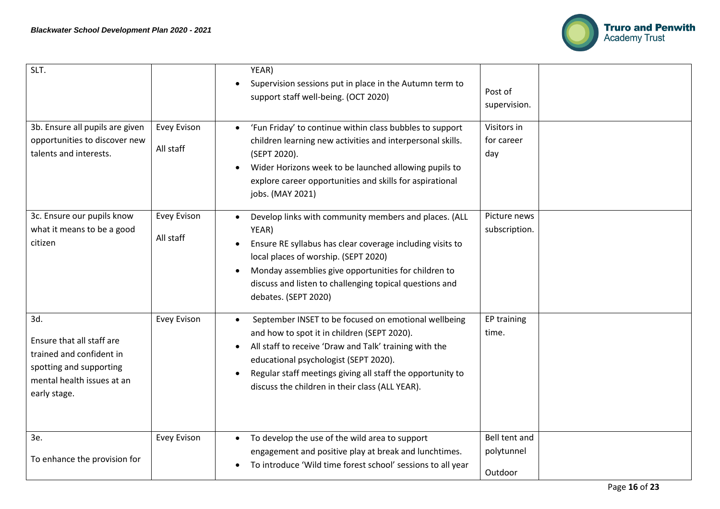

| SLT.                                                                                                                                  |                          | YEAR)<br>Supervision sessions put in place in the Autumn term to<br>support staff well-being. (OCT 2020)                                                                                                                                                                                                                             | Post of<br>supervision.                |
|---------------------------------------------------------------------------------------------------------------------------------------|--------------------------|--------------------------------------------------------------------------------------------------------------------------------------------------------------------------------------------------------------------------------------------------------------------------------------------------------------------------------------|----------------------------------------|
| 3b. Ensure all pupils are given<br>opportunities to discover new<br>talents and interests.                                            | Evey Evison<br>All staff | 'Fun Friday' to continue within class bubbles to support<br>children learning new activities and interpersonal skills.<br>(SEPT 2020).<br>Wider Horizons week to be launched allowing pupils to<br>explore career opportunities and skills for aspirational<br>jobs. (MAY 2021)                                                      | Visitors in<br>for career<br>day       |
| 3c. Ensure our pupils know<br>what it means to be a good<br>citizen                                                                   | Evey Evison<br>All staff | Develop links with community members and places. (ALL<br>YEAR)<br>Ensure RE syllabus has clear coverage including visits to<br>local places of worship. (SEPT 2020)<br>Monday assemblies give opportunities for children to<br>discuss and listen to challenging topical questions and<br>debates. (SEPT 2020)                       | Picture news<br>subscription.          |
| 3d.<br>Ensure that all staff are<br>trained and confident in<br>spotting and supporting<br>mental health issues at an<br>early stage. | Evey Evison              | September INSET to be focused on emotional wellbeing<br>$\bullet$<br>and how to spot it in children (SEPT 2020).<br>All staff to receive 'Draw and Talk' training with the<br>educational psychologist (SEPT 2020).<br>Regular staff meetings giving all staff the opportunity to<br>discuss the children in their class (ALL YEAR). | EP training<br>time.                   |
| 3e.<br>To enhance the provision for                                                                                                   | <b>Evey Evison</b>       | To develop the use of the wild area to support<br>engagement and positive play at break and lunchtimes.<br>To introduce 'Wild time forest school' sessions to all year                                                                                                                                                               | Bell tent and<br>polytunnel<br>Outdoor |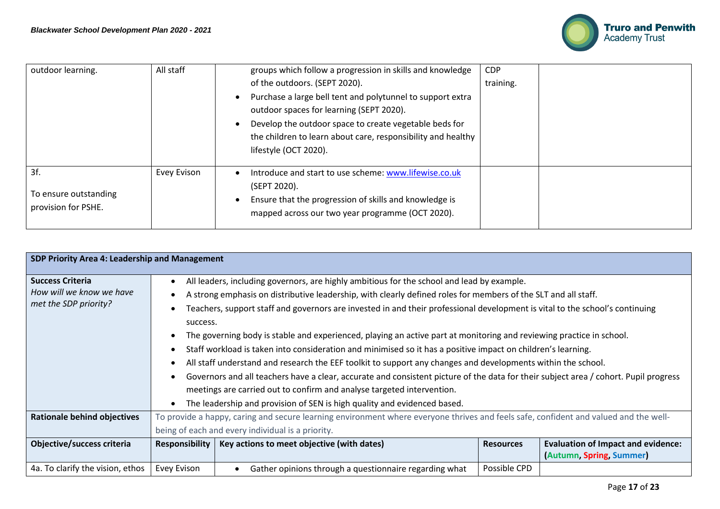

| outdoor learning.     | All staff   | groups which follow a progression in skills and knowledge             | <b>CDP</b> |  |
|-----------------------|-------------|-----------------------------------------------------------------------|------------|--|
|                       |             | of the outdoors. (SEPT 2020).                                         | training.  |  |
|                       |             | Purchase a large bell tent and polytunnel to support extra            |            |  |
|                       |             | outdoor spaces for learning (SEPT 2020).                              |            |  |
|                       |             | Develop the outdoor space to create vegetable beds for                |            |  |
|                       |             | the children to learn about care, responsibility and healthy          |            |  |
|                       |             | lifestyle (OCT 2020).                                                 |            |  |
| 3f.                   | Evey Evison | Introduce and start to use scheme: www.lifewise.co.uk<br>(SEPT 2020). |            |  |
| To ensure outstanding |             | Ensure that the progression of skills and knowledge is                |            |  |
| provision for PSHE.   |             | mapped across our two year programme (OCT 2020).                      |            |  |
|                       |             |                                                                       |            |  |

| SDP Priority Area 4: Leadership and Management |                                                                                                                                      |                                                                                                                              |                  |                                           |  |  |
|------------------------------------------------|--------------------------------------------------------------------------------------------------------------------------------------|------------------------------------------------------------------------------------------------------------------------------|------------------|-------------------------------------------|--|--|
|                                                |                                                                                                                                      |                                                                                                                              |                  |                                           |  |  |
| <b>Success Criteria</b>                        | $\bullet$                                                                                                                            | All leaders, including governors, are highly ambitious for the school and lead by example.                                   |                  |                                           |  |  |
| How will we know we have                       |                                                                                                                                      | A strong emphasis on distributive leadership, with clearly defined roles for members of the SLT and all staff.               |                  |                                           |  |  |
| met the SDP priority?                          | $\bullet$                                                                                                                            | Teachers, support staff and governors are invested in and their professional development is vital to the school's continuing |                  |                                           |  |  |
|                                                | success.                                                                                                                             |                                                                                                                              |                  |                                           |  |  |
|                                                |                                                                                                                                      | The governing body is stable and experienced, playing an active part at monitoring and reviewing practice in school.         |                  |                                           |  |  |
|                                                | $\bullet$                                                                                                                            | Staff workload is taken into consideration and minimised so it has a positive impact on children's learning.                 |                  |                                           |  |  |
|                                                |                                                                                                                                      | All staff understand and research the EEF toolkit to support any changes and developments within the school.                 |                  |                                           |  |  |
|                                                | Governors and all teachers have a clear, accurate and consistent picture of the data for their subject area / cohort. Pupil progress |                                                                                                                              |                  |                                           |  |  |
|                                                | meetings are carried out to confirm and analyse targeted intervention.                                                               |                                                                                                                              |                  |                                           |  |  |
|                                                | The leadership and provision of SEN is high quality and evidenced based.<br>$\bullet$                                                |                                                                                                                              |                  |                                           |  |  |
| <b>Rationale behind objectives</b>             | To provide a happy, caring and secure learning environment where everyone thrives and feels safe, confident and valued and the well- |                                                                                                                              |                  |                                           |  |  |
|                                                | being of each and every individual is a priority.                                                                                    |                                                                                                                              |                  |                                           |  |  |
| Objective/success criteria                     | Responsibility                                                                                                                       | Key actions to meet objective (with dates)                                                                                   | <b>Resources</b> | <b>Evaluation of Impact and evidence:</b> |  |  |
|                                                |                                                                                                                                      |                                                                                                                              |                  | (Autumn, Spring, Summer)                  |  |  |
| 4a. To clarify the vision, ethos               | Evey Evison                                                                                                                          | Gather opinions through a questionnaire regarding what                                                                       | Possible CPD     |                                           |  |  |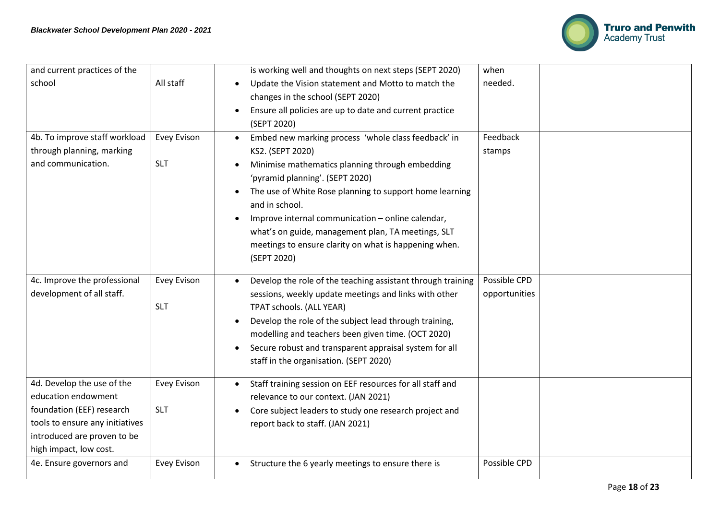

| and current practices of the    |             | is working well and thoughts on next steps (SEPT 2020)                                  | when          |  |
|---------------------------------|-------------|-----------------------------------------------------------------------------------------|---------------|--|
| school                          | All staff   | Update the Vision statement and Motto to match the<br>changes in the school (SEPT 2020) | needed.       |  |
|                                 |             | Ensure all policies are up to date and current practice                                 |               |  |
|                                 |             | (SEPT 2020)                                                                             |               |  |
| 4b. To improve staff workload   | Evey Evison | Embed new marking process 'whole class feedback' in                                     | Feedback      |  |
| through planning, marking       |             | KS2. (SEPT 2020)                                                                        | stamps        |  |
| and communication.              | <b>SLT</b>  | Minimise mathematics planning through embedding<br>'pyramid planning'. (SEPT 2020)      |               |  |
|                                 |             | The use of White Rose planning to support home learning                                 |               |  |
|                                 |             | and in school.                                                                          |               |  |
|                                 |             | Improve internal communication - online calendar,                                       |               |  |
|                                 |             | what's on guide, management plan, TA meetings, SLT                                      |               |  |
|                                 |             | meetings to ensure clarity on what is happening when.                                   |               |  |
|                                 |             | (SEPT 2020)                                                                             |               |  |
| 4c. Improve the professional    | Evey Evison | Develop the role of the teaching assistant through training                             | Possible CPD  |  |
| development of all staff.       |             | sessions, weekly update meetings and links with other                                   | opportunities |  |
|                                 | <b>SLT</b>  | TPAT schools. (ALL YEAR)                                                                |               |  |
|                                 |             | Develop the role of the subject lead through training,                                  |               |  |
|                                 |             | modelling and teachers been given time. (OCT 2020)                                      |               |  |
|                                 |             | Secure robust and transparent appraisal system for all                                  |               |  |
|                                 |             | staff in the organisation. (SEPT 2020)                                                  |               |  |
| 4d. Develop the use of the      | Evey Evison | Staff training session on EEF resources for all staff and                               |               |  |
| education endowment             |             | relevance to our context. (JAN 2021)                                                    |               |  |
| foundation (EEF) research       | <b>SLT</b>  | Core subject leaders to study one research project and                                  |               |  |
| tools to ensure any initiatives |             | report back to staff. (JAN 2021)                                                        |               |  |
| introduced are proven to be     |             |                                                                                         |               |  |
| high impact, low cost.          |             |                                                                                         |               |  |
| 4e. Ensure governors and        | Evey Evison | Structure the 6 yearly meetings to ensure there is                                      | Possible CPD  |  |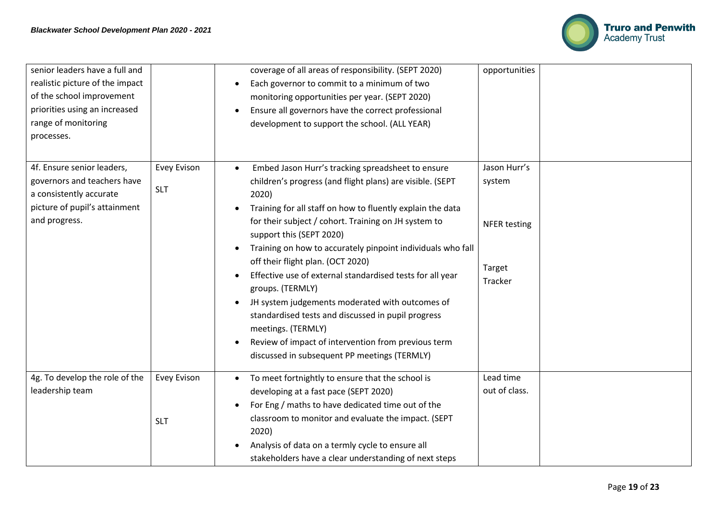

| senior leaders have a full and<br>realistic picture of the impact<br>of the school improvement<br>priorities using an increased<br>range of monitoring<br>processes. |                                  | coverage of all areas of responsibility. (SEPT 2020)<br>Each governor to commit to a minimum of two<br>$\bullet$<br>monitoring opportunities per year. (SEPT 2020)<br>Ensure all governors have the correct professional<br>$\bullet$<br>development to support the school. (ALL YEAR)                                                                                                                                                                                                                                                                                                                                                                                                                                                                   | opportunities                                                      |
|----------------------------------------------------------------------------------------------------------------------------------------------------------------------|----------------------------------|----------------------------------------------------------------------------------------------------------------------------------------------------------------------------------------------------------------------------------------------------------------------------------------------------------------------------------------------------------------------------------------------------------------------------------------------------------------------------------------------------------------------------------------------------------------------------------------------------------------------------------------------------------------------------------------------------------------------------------------------------------|--------------------------------------------------------------------|
| 4f. Ensure senior leaders,<br>governors and teachers have<br>a consistently accurate<br>picture of pupil's attainment<br>and progress.                               | <b>Evey Evison</b><br><b>SLT</b> | Embed Jason Hurr's tracking spreadsheet to ensure<br>$\bullet$<br>children's progress (and flight plans) are visible. (SEPT<br>2020)<br>Training for all staff on how to fluently explain the data<br>for their subject / cohort. Training on JH system to<br>support this (SEPT 2020)<br>Training on how to accurately pinpoint individuals who fall<br>$\bullet$<br>off their flight plan. (OCT 2020)<br>Effective use of external standardised tests for all year<br>groups. (TERMLY)<br>JH system judgements moderated with outcomes of<br>$\bullet$<br>standardised tests and discussed in pupil progress<br>meetings. (TERMLY)<br>Review of impact of intervention from previous term<br>$\bullet$<br>discussed in subsequent PP meetings (TERMLY) | Jason Hurr's<br>system<br><b>NFER testing</b><br>Target<br>Tracker |
| 4g. To develop the role of the<br>leadership team                                                                                                                    | Evey Evison<br><b>SLT</b>        | To meet fortnightly to ensure that the school is<br>$\bullet$<br>developing at a fast pace (SEPT 2020)<br>For Eng / maths to have dedicated time out of the<br>$\bullet$<br>classroom to monitor and evaluate the impact. (SEPT<br>2020)<br>Analysis of data on a termly cycle to ensure all<br>stakeholders have a clear understanding of next steps                                                                                                                                                                                                                                                                                                                                                                                                    | Lead time<br>out of class.                                         |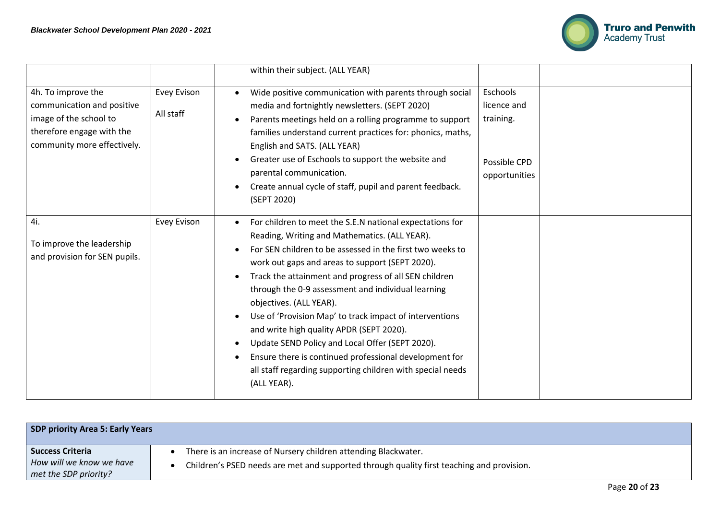

|                                                                                                                                        |                          | within their subject. (ALL YEAR)                                                                                                                                                                                                                                                                                                                                                                                                                                                                                                                                                                                                                                     |                                                                       |
|----------------------------------------------------------------------------------------------------------------------------------------|--------------------------|----------------------------------------------------------------------------------------------------------------------------------------------------------------------------------------------------------------------------------------------------------------------------------------------------------------------------------------------------------------------------------------------------------------------------------------------------------------------------------------------------------------------------------------------------------------------------------------------------------------------------------------------------------------------|-----------------------------------------------------------------------|
| 4h. To improve the<br>communication and positive<br>image of the school to<br>therefore engage with the<br>community more effectively. | Evey Evison<br>All staff | Wide positive communication with parents through social<br>media and fortnightly newsletters. (SEPT 2020)<br>Parents meetings held on a rolling programme to support<br>families understand current practices for: phonics, maths,<br>English and SATS. (ALL YEAR)<br>Greater use of Eschools to support the website and<br>parental communication.<br>Create annual cycle of staff, pupil and parent feedback.<br>(SEPT 2020)                                                                                                                                                                                                                                       | Eschools<br>licence and<br>training.<br>Possible CPD<br>opportunities |
| 4i.<br>To improve the leadership<br>and provision for SEN pupils.                                                                      | Evey Evison              | For children to meet the S.E.N national expectations for<br>Reading, Writing and Mathematics. (ALL YEAR).<br>For SEN children to be assessed in the first two weeks to<br>work out gaps and areas to support (SEPT 2020).<br>Track the attainment and progress of all SEN children<br>through the 0-9 assessment and individual learning<br>objectives. (ALL YEAR).<br>Use of 'Provision Map' to track impact of interventions<br>and write high quality APDR (SEPT 2020).<br>Update SEND Policy and Local Offer (SEPT 2020).<br>Ensure there is continued professional development for<br>all staff regarding supporting children with special needs<br>(ALL YEAR). |                                                                       |

| <b>SDP priority Area 5: Early Years</b> |                                                                                           |
|-----------------------------------------|-------------------------------------------------------------------------------------------|
| <b>Success Criteria</b>                 | There is an increase of Nursery children attending Blackwater.                            |
| How will we know we have                | Children's PSED needs are met and supported through quality first teaching and provision. |
| met the SDP priority?                   |                                                                                           |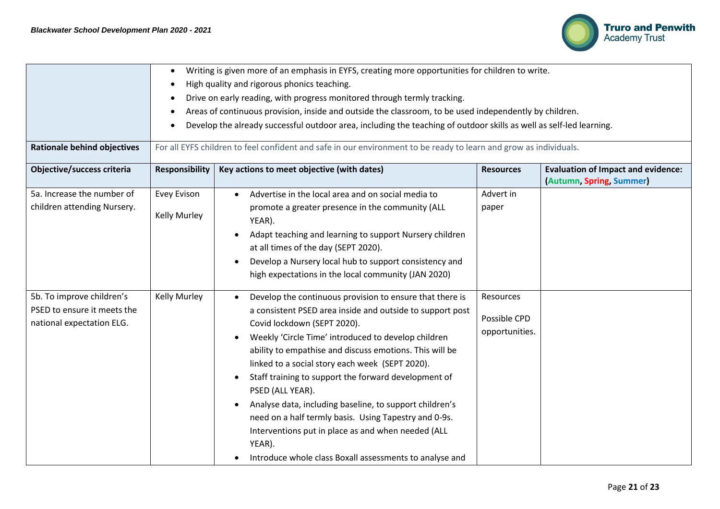

| <b>Rationale behind objectives</b>                                                    | $\bullet$<br>$\bullet$      | Writing is given more of an emphasis in EYFS, creating more opportunities for children to write.<br>High quality and rigorous phonics teaching.<br>Drive on early reading, with progress monitored through termly tracking.<br>Areas of continuous provision, inside and outside the classroom, to be used independently by children.<br>Develop the already successful outdoor area, including the teaching of outdoor skills as well as self-led learning.<br>For all EYFS children to feel confident and safe in our environment to be ready to learn and grow as individuals.                                                                    |                                             |                                                                       |  |
|---------------------------------------------------------------------------------------|-----------------------------|------------------------------------------------------------------------------------------------------------------------------------------------------------------------------------------------------------------------------------------------------------------------------------------------------------------------------------------------------------------------------------------------------------------------------------------------------------------------------------------------------------------------------------------------------------------------------------------------------------------------------------------------------|---------------------------------------------|-----------------------------------------------------------------------|--|
| Objective/success criteria                                                            | <b>Responsibility</b>       | Key actions to meet objective (with dates)                                                                                                                                                                                                                                                                                                                                                                                                                                                                                                                                                                                                           | <b>Resources</b>                            | <b>Evaluation of Impact and evidence:</b><br>(Autumn, Spring, Summer) |  |
| 5a. Increase the number of<br>children attending Nursery.                             | Evey Evison<br>Kelly Murley | Advertise in the local area and on social media to<br>promote a greater presence in the community (ALL<br>YEAR).<br>Adapt teaching and learning to support Nursery children<br>at all times of the day (SEPT 2020).<br>Develop a Nursery local hub to support consistency and<br>high expectations in the local community (JAN 2020)                                                                                                                                                                                                                                                                                                                 | Advert in<br>paper                          |                                                                       |  |
| 5b. To improve children's<br>PSED to ensure it meets the<br>national expectation ELG. | Kelly Murley                | Develop the continuous provision to ensure that there is<br>a consistent PSED area inside and outside to support post<br>Covid lockdown (SEPT 2020).<br>Weekly 'Circle Time' introduced to develop children<br>ability to empathise and discuss emotions. This will be<br>linked to a social story each week (SEPT 2020).<br>Staff training to support the forward development of<br>PSED (ALL YEAR).<br>Analyse data, including baseline, to support children's<br>need on a half termly basis. Using Tapestry and 0-9s.<br>Interventions put in place as and when needed (ALL<br>YEAR).<br>Introduce whole class Boxall assessments to analyse and | Resources<br>Possible CPD<br>opportunities. |                                                                       |  |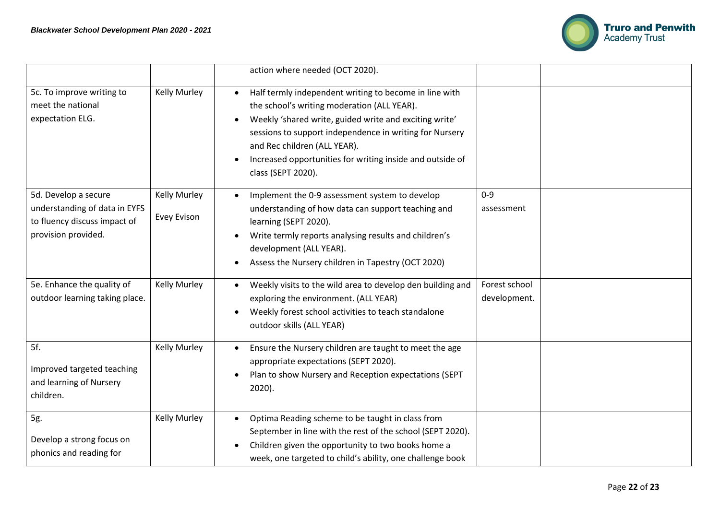

|                                                                                      |              | action where needed (OCT 2020).                                                                                                                                                                                                                                                                                                               |               |  |
|--------------------------------------------------------------------------------------|--------------|-----------------------------------------------------------------------------------------------------------------------------------------------------------------------------------------------------------------------------------------------------------------------------------------------------------------------------------------------|---------------|--|
| 5c. To improve writing to<br>meet the national<br>expectation ELG.                   | Kelly Murley | Half termly independent writing to become in line with<br>the school's writing moderation (ALL YEAR).<br>Weekly 'shared write, guided write and exciting write'<br>sessions to support independence in writing for Nursery<br>and Rec children (ALL YEAR).<br>Increased opportunities for writing inside and outside of<br>class (SEPT 2020). |               |  |
| 5d. Develop a secure                                                                 | Kelly Murley | Implement the 0-9 assessment system to develop                                                                                                                                                                                                                                                                                                | $0 - 9$       |  |
| understanding of data in EYFS<br>to fluency discuss impact of<br>provision provided. | Evey Evison  | understanding of how data can support teaching and<br>learning (SEPT 2020).<br>Write termly reports analysing results and children's<br>development (ALL YEAR).<br>Assess the Nursery children in Tapestry (OCT 2020)                                                                                                                         | assessment    |  |
| 5e. Enhance the quality of                                                           | Kelly Murley | Weekly visits to the wild area to develop den building and                                                                                                                                                                                                                                                                                    | Forest school |  |
| outdoor learning taking place.                                                       |              | exploring the environment. (ALL YEAR)<br>Weekly forest school activities to teach standalone<br>outdoor skills (ALL YEAR)                                                                                                                                                                                                                     | development.  |  |
| 5f.                                                                                  | Kelly Murley | Ensure the Nursery children are taught to meet the age                                                                                                                                                                                                                                                                                        |               |  |
| Improved targeted teaching                                                           |              | appropriate expectations (SEPT 2020).                                                                                                                                                                                                                                                                                                         |               |  |
| and learning of Nursery<br>children.                                                 |              | Plan to show Nursery and Reception expectations (SEPT<br>2020).                                                                                                                                                                                                                                                                               |               |  |
| 5g.                                                                                  | Kelly Murley | Optima Reading scheme to be taught in class from                                                                                                                                                                                                                                                                                              |               |  |
| Develop a strong focus on                                                            |              | September in line with the rest of the school (SEPT 2020).<br>Children given the opportunity to two books home a                                                                                                                                                                                                                              |               |  |
| phonics and reading for                                                              |              | week, one targeted to child's ability, one challenge book                                                                                                                                                                                                                                                                                     |               |  |